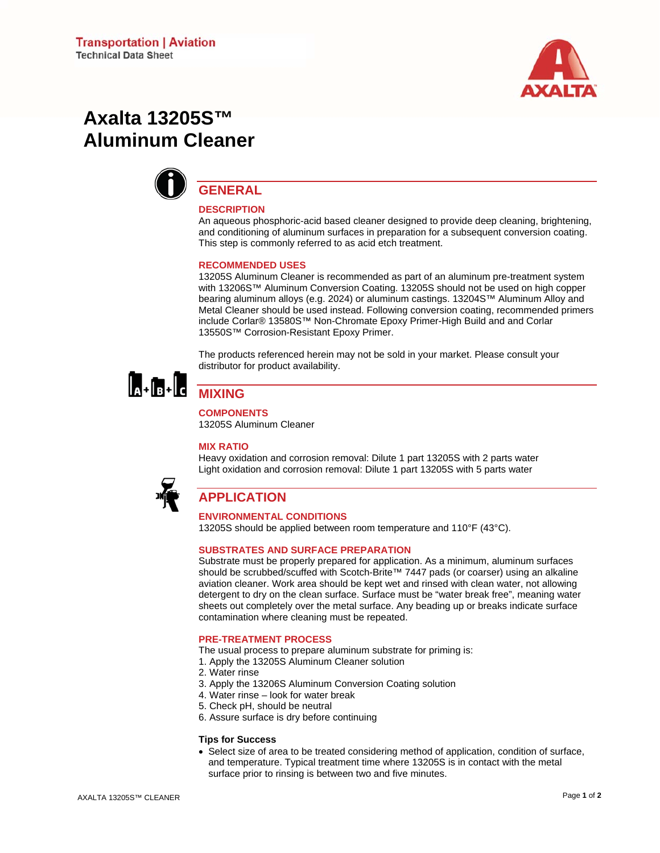

# **Axalta 13205S™ Aluminum Cleaner**



# **GENERAL**

#### **DESCRIPTION**

An aqueous phosphoric-acid based cleaner designed to provide deep cleaning, brightening, and conditioning of aluminum surfaces in preparation for a subsequent conversion coating. This step is commonly referred to as acid etch treatment.

#### **RECOMMENDED USES**

13205S Aluminum Cleaner is recommended as part of an aluminum pre-treatment system with 13206S™ Aluminum Conversion Coating. 13205S should not be used on high copper bearing aluminum alloys (e.g. 2024) or aluminum castings. 13204S™ Aluminum Alloy and Metal Cleaner should be used instead. Following conversion coating, recommended primers include Corlar® 13580S™ Non-Chromate Epoxy Primer-High Build and and Corlar 13550S™ Corrosion-Resistant Epoxy Primer.

The products referenced herein may not be sold in your market. Please consult your distributor for product availability.



# **MIXING**

**COMPONENTS** 

13205S Aluminum Cleaner

#### **MIX RATIO**

Heavy oxidation and corrosion removal: Dilute 1 part 13205S with 2 parts water Light oxidation and corrosion removal: Dilute 1 part 13205S with 5 parts water



# **APPLICATION**

### **ENVIRONMENTAL CONDITIONS**

13205S should be applied between room temperature and 110°F (43°C).

#### **SUBSTRATES AND SURFACE PREPARATION**

Substrate must be properly prepared for application. As a minimum, aluminum surfaces should be scrubbed/scuffed with Scotch-Brite™ 7447 pads (or coarser) using an alkaline aviation cleaner. Work area should be kept wet and rinsed with clean water, not allowing detergent to dry on the clean surface. Surface must be "water break free", meaning water sheets out completely over the metal surface. Any beading up or breaks indicate surface contamination where cleaning must be repeated.

#### **PRE-TREATMENT PROCESS**

The usual process to prepare aluminum substrate for priming is:

- 1. Apply the 13205S Aluminum Cleaner solution
- 2. Water rinse
- 3. Apply the 13206S Aluminum Conversion Coating solution
- 4. Water rinse look for water break
- 5. Check pH, should be neutral
- 6. Assure surface is dry before continuing

#### **Tips for Success**

• Select size of area to be treated considering method of application, condition of surface, and temperature. Typical treatment time where 13205S is in contact with the metal surface prior to rinsing is between two and five minutes.